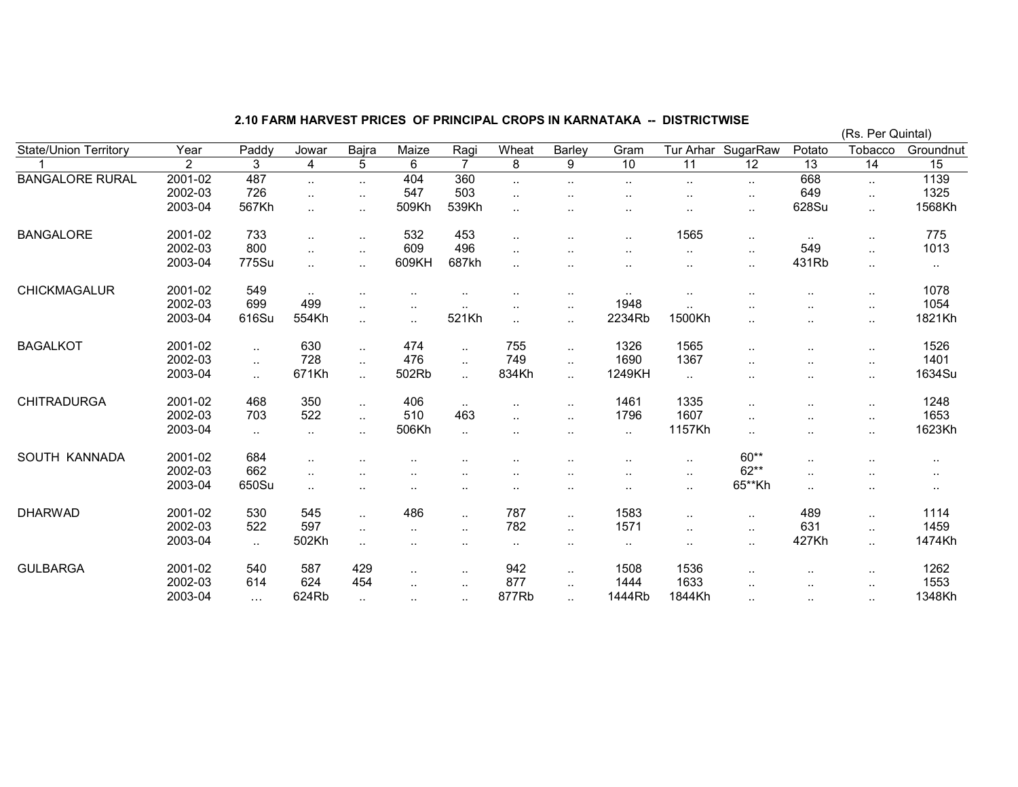|                              |         |           |                      |                      |                      |                      |                      |           |               |                      |                    |           | (Rs. Per Quintal)    |               |
|------------------------------|---------|-----------|----------------------|----------------------|----------------------|----------------------|----------------------|-----------|---------------|----------------------|--------------------|-----------|----------------------|---------------|
| <b>State/Union Territory</b> | Year    | Paddy     | Jowar                | Bajra                | Maize                | Ragi                 | Wheat                | Barley    | Gram          |                      | Tur Arhar SugarRaw | Potato    | Tobacco              | Groundnut     |
|                              | 2       | 3         | 4                    | 5                    | 6                    | $\overline{7}$       | 8                    | 9         | 10            | 11                   | $\overline{12}$    | 13        | 14                   | 15            |
| <b>BANGALORE RURAL</b>       | 2001-02 | 487       | $\ddotsc$            | $\ldots$             | 404                  | 360                  | $\ldots$             | $\sim$    | $\sim$        | $\ddot{\phantom{a}}$ | $\sim$             | 668       | $\ddotsc$            | 1139          |
|                              | 2002-03 | 726       | $\cdot$ .            | $\cdot$ .            | 547                  | 503                  | $\sim$               |           | . .           | . .                  | $\sim$             | 649       | $\ddotsc$            | 1325          |
|                              | 2003-04 | 567Kh     | $\cdot$ .            |                      | 509Kh                | 539Kh                | $\cdot$ .            |           |               |                      | $\sim$             | 628Su     | $\ldots$             | 1568Kh        |
| <b>BANGALORE</b>             | 2001-02 | 733       | $\ddotsc$            | $\cdot$ .            | 532                  | 453                  | $\ddotsc$            | $\ddotsc$ | $\sim$        | 1565                 | $\sim$ $\sim$      | $\sim$    | $\sim$               | 775           |
|                              | 2002-03 | 800       | $\ddotsc$            | $\ddotsc$            | 609                  | 496                  | $\ddotsc$            | $\ddotsc$ | $\cdot$ .     | $\ddot{\phantom{a}}$ | $\sim$             | 549       | $\ddot{\phantom{a}}$ | 1013          |
|                              | 2003-04 | 775Su     | $\cdot$ .            | $\ddotsc$            | 609KH                | 687kh                | $\ddotsc$            | $\ddotsc$ | $\sim$ $\sim$ | $\sim$               | $\sim$             | 431Rb     | $\cdot$ .            | $\cdot$ .     |
| CHICKMAGALUR                 | 2001-02 | 549       | $\sim$ $\sim$        | ٠.                   | $\cdot$ .            |                      | $\sim$               | $\sim$    | $\sim$ $\sim$ | $\cdot$ .            |                    | $\sim$    | $\cdot$ .            | 1078          |
|                              | 2002-03 | 699       | 499                  | $\cdot$ .            | $\cdot$ .            | $\ddot{\phantom{a}}$ | $\sim$               | $\sim$    | 1948          | $\ddotsc$            |                    | $\sim$    | $\cdot$ .            | 1054          |
|                              | 2003-04 | 616Su     | 554Kh                | $\ddotsc$            | $\ddotsc$            | 521Kh                | $\ddotsc$            | $\sim$    | 2234Rb        | 1500Kh               | $\ddotsc$          |           | $\cdot$ .            | 1821Kh        |
| <b>BAGALKOT</b>              | 2001-02 | $\ddotsc$ | 630                  | $\ddotsc$            | 474                  | $\cdot$ .            | 755                  | $\cdot$ . | 1326          | 1565                 | $\cdot$ .          | $\sim$    | $\cdot$ .            | 1526          |
|                              | 2002-03 | н.        | 728                  | $\sim$               | 476                  | $\sim$               | 749                  | $\sim$    | 1690          | 1367                 | $\sim$ $\sim$      | $\sim$    | $\ldots$             | 1401          |
|                              | 2003-04 | $\ddotsc$ | 671Kh                | $\ddotsc$            | 502Rb                | $\ddotsc$            | 834Kh                | $\ddotsc$ | 1249KH        | $\sim$               | . .                |           | $\cdot$ .            | 1634Su        |
| <b>CHITRADURGA</b>           | 2001-02 | 468       | 350                  | $\cdot$ .            | 406                  | $\sim$ $\sim$        | $\sim$               | $\sim$    | 1461          | 1335                 | $\sim$             |           | $\cdot$ .            | 1248          |
|                              | 2002-03 | 703       | 522                  | $\ddot{\phantom{a}}$ | 510                  | 463                  | $\ddotsc$            | $\ddotsc$ | 1796          | 1607                 | $\sim$ $\sim$      | $\sim$    | $\cdot$ .            | 1653          |
|                              | 2003-04 | н.        | $\ldots$             | $\cdot$ .            | 506Kh                | $\ddotsc$            | $\cdot$ .            | $\cdot$ . | $\sim$        | 1157Kh               | $\sim$             |           | $\cdot$ .            | 1623Kh        |
| SOUTH KANNADA                | 2001-02 | 684       | $\ddot{\phantom{a}}$ |                      |                      |                      |                      |           |               | $\sim$               | 60**               | $\sim$    |                      | $\sim$ $\sim$ |
|                              | 2002-03 | 662       | $\sim$ $\sim$        |                      |                      |                      |                      |           | $\sim$        | $\sim$               | $62**$             | $\sim$    |                      | $\cdot$ .     |
|                              | 2003-04 | 650Su     | $\ddotsc$            |                      | $\cdot$ .            | $\ddot{\phantom{a}}$ | $\ddot{\phantom{a}}$ | $\cdot$ . | $\cdot$ .     | $\sim$               | 65**Kh             | $\ddotsc$ | $\ddot{\phantom{a}}$ | $\sim$ $\sim$ |
| <b>DHARWAD</b>               | 2001-02 | 530       | 545                  | $\ddotsc$            | 486                  | $\ddotsc$            | 787                  | $\ddotsc$ | 1583          | $\ddotsc$            |                    | 489       | $\ddotsc$            | 1114          |
|                              | 2002-03 | 522       | 597                  | $\cdot$              | $\ddot{\phantom{a}}$ | $\ddot{\phantom{a}}$ | 782                  | $\cdot$ . | 1571          | $\ddot{\phantom{a}}$ | $\cdot$ .          | 631       | $\cdot$ .            | 1459          |
|                              | 2003-04 | н.        | 502Kh                | $\ldots$             | $\cdot$ .            |                      | $\sim$               | $\sim$    | $\cdot$ .     | $\sim$               | $\sim$             | 427Kh     | $\ddotsc$            | 1474Kh        |
| <b>GULBARGA</b>              | 2001-02 | 540       | 587                  | 429                  | $\ddot{\phantom{a}}$ | $\sim$               | 942                  | $\ldots$  | 1508          | 1536                 | $\cdot$ .          | $\sim$    | $\cdot$ .            | 1262          |
|                              | 2002-03 | 614       | 624                  | 454                  | $\sim$ $\sim$        | $\sim$               | 877                  | $\sim$    | 1444          | 1633                 |                    | $\sim$    |                      | 1553          |
|                              | 2003-04 | $\cdots$  | 624Rb                | $\sim$               | $\cdot$ .            | $\sim$               | 877Rb                | $\ddotsc$ | 1444Rb        | 1844Kh               | $\cdot$ .          | $\sim$    | $\ldots$             | 1348Kh        |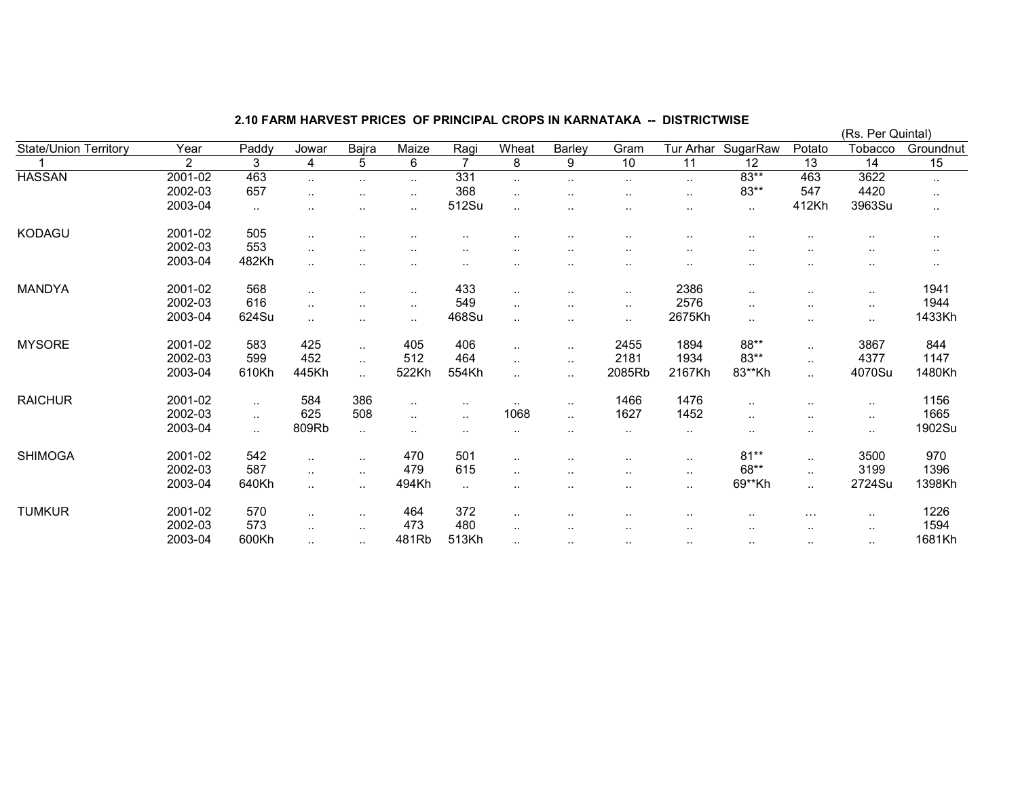|                              |                |       |               |                      |                      |                |               |                      |                      |                      |                    |           | (Rs. Per Quintal) |           |
|------------------------------|----------------|-------|---------------|----------------------|----------------------|----------------|---------------|----------------------|----------------------|----------------------|--------------------|-----------|-------------------|-----------|
| <b>State/Union Territory</b> | Year           | Paddy | Jowar         | Bajra                | Maize                | Ragi           | Wheat         | Barley               | Gram                 |                      | Tur Arhar SugarRaw | Potato    | Tobacco           | Groundnut |
|                              | $\overline{2}$ | 3     | 4             | 5                    | 6                    | $\overline{7}$ | 8             | 9                    | 10                   | $\overline{11}$      | $\overline{12}$    | 13        | 14                | 15        |
| <b>HASSAN</b>                | 2001-02        | 463   | $\ddotsc$     | $\ddotsc$            | $\ddot{\phantom{a}}$ | 331            | $\ddotsc$     | $\ddotsc$            | $\cdot$ .            | $\sim$               | $83**$             | 463       | 3622              | $\sim$    |
|                              | 2002-03        | 657   |               | $\ddot{\phantom{a}}$ | $\ddotsc$            | 368            | $\ldots$      | $\ddotsc$            | $\cdot$ .            | $\ddot{\phantom{1}}$ | $83**$             | 547       | 4420              | $\cdot$ . |
|                              | 2003-04        | ٠.    |               |                      |                      | 512Su          | $\ddotsc$     | $\cdot$ .            | $\ddot{\phantom{0}}$ | $\sim$               | $\sim$             | 412Kh     | 3963Su            | $\ldots$  |
| KODAGU                       | 2001-02        | 505   | $\ddotsc$     |                      |                      |                |               |                      |                      |                      |                    |           |                   | $\cdot$ . |
|                              | 2002-03        | 553   | $\sim$ $\sim$ |                      |                      | $\sim$         | $\sim$        | $\sim$               |                      |                      |                    |           |                   | $\cdots$  |
|                              | 2003-04        | 482Kh |               |                      |                      | $\ddotsc$      |               | $\sim$               | $\sim$ $\sim$        | $\sim$               |                    | ٠.        | $\sim$            |           |
| MANDYA                       | 2001-02        | 568   | $\ddotsc$     | $\ddotsc$            | $\sim$ $\sim$        | 433            | $\sim$ $\sim$ | $\cdot$ .            | $\sim$               | 2386                 |                    | $\sim$    | $\sim$            | 1941      |
|                              | 2002-03        | 616   |               |                      | $\sim$ $\sim$        | 549            | $\sim$        | $\cdot$ .            | $\sim$               | 2576                 |                    | $\sim$    | $\sim$            | 1944      |
|                              | 2003-04        | 624Su | $\ddotsc$     |                      |                      | 468Su          | $\ddotsc$     | $\cdot$ .            | $\sim$               | 2675Kh               |                    | $\ddotsc$ | $\ddotsc$         | 1433Kh    |
| <b>MYSORE</b>                | 2001-02        | 583   | 425           | $\ddotsc$            | 405                  | 406            | $\ddotsc$     | $\ddotsc$            | 2455                 | 1894                 | 88**               | $\ldots$  | 3867              | 844       |
|                              | 2002-03        | 599   | 452           | $\cdot$ .            | 512                  | 464            | $\cdot$ .     | $\sim$               | 2181                 | 1934                 | $83**$             | $\sim$    | 4377              | 1147      |
|                              | 2003-04        | 610Kh | 445Kh         | $\ddot{\phantom{a}}$ | 522Kh                | 554Kh          | $\ddotsc$     | $\ddotsc$            | 2085Rb               | 2167Kh               | 83**Kh             | $\ddotsc$ | 4070Su            | 1480Kh    |
| <b>RAICHUR</b>               | 2001-02        |       | 584           | 386                  | $\sim$ $\sim$        | $\sim$ $\sim$  | $\sim$ $\sim$ | $\ddotsc$            | 1466                 | 1476                 | $\cdot$ .          |           |                   | 1156      |
|                              | 2002-03        |       | 625           | 508                  |                      | $\sim$         | 1068          | $\ddotsc$            | 1627                 | 1452                 |                    |           | $\cdot$ .         | 1665      |
|                              | 2003-04        | н.    | 809Rb         | $\sim$               | $\sim$ $\sim$        | $\sim$         | $\cdots$      |                      | $\sim$               | $\sim$               |                    | $\sim$    | $\sim$            | 1902Su    |
| <b>SHIMOGA</b>               | 2001-02        | 542   | $\ddotsc$     | $\sim$               | 470                  | 501            | $\sim$ $\sim$ |                      | $\cdot$ .            | $\sim$               | $81**$             | $\sim$    | 3500              | 970       |
|                              | 2002-03        | 587   | $\ddotsc$     | $\cdot$ .            | 479                  | 615            | $\ddotsc$     | $\ddot{\phantom{0}}$ | $\cdot$ .            | $\sim$               | 68**               | $\ldots$  | 3199              | 1396      |
|                              | 2003-04        | 640Kh | $\cdot$ .     | $\cdot$ .            | 494Kh                | $\sim$         | $\sim$        | $\cdot$ .            | $\cdot$ .            | $\sim$               | 69**Kh             | $\ddotsc$ | 2724Su            | 1398Kh    |
| <b>TUMKUR</b>                | 2001-02        | 570   | $\ddotsc$     | $\sim$ $\sim$        | 464                  | 372            | $\sim$ $\sim$ | $\ddot{\phantom{a}}$ | $\ddotsc$            | $\cdot$ .            |                    | $\cdots$  | $\sim$            | 1226      |
|                              | 2002-03        | 573   | $\cdot$ .     | . .                  | 473                  | 480            | $\cdots$      |                      |                      |                      |                    | $\sim$    | $\sim$            | 1594      |
|                              | 2003-04        | 600Kh | $\ddotsc$     | $\cdot$ .            | 481Rb                | 513Kh          | $\ddotsc$     | $\ddotsc$            | $\sim$               | $\sim$               | $\cdot$ .          | $\sim$    | $\sim$            | 1681Kh    |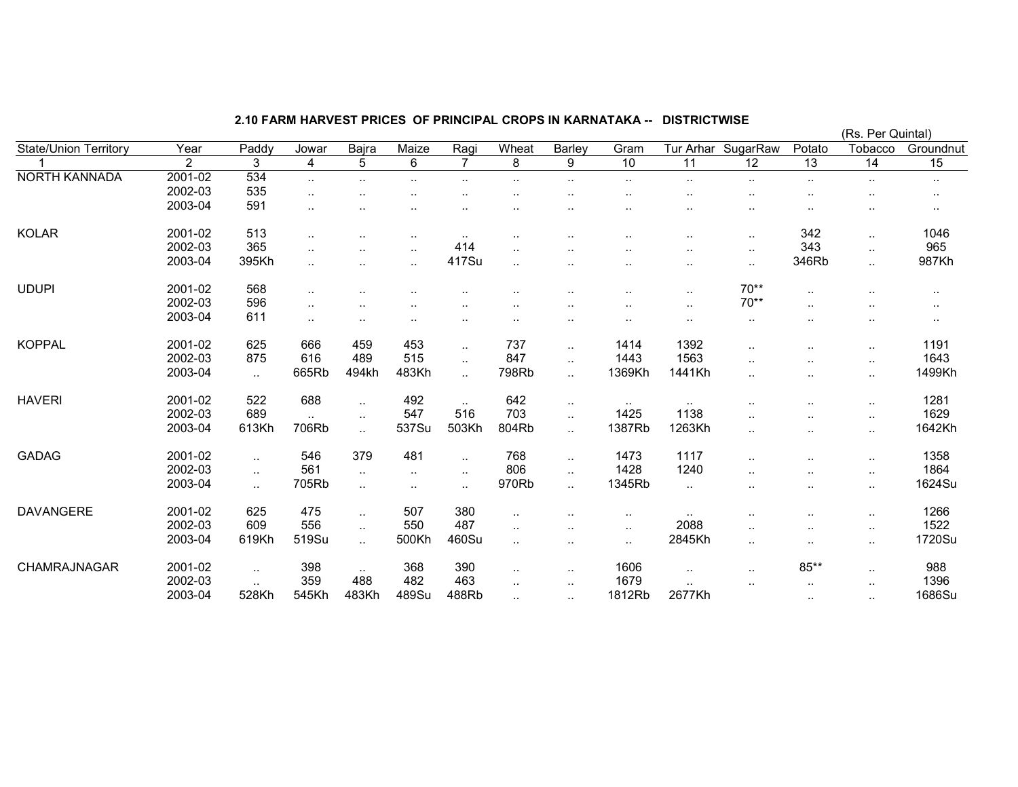|                              |                |                      |                      |           |                      |                |                      |                        |                        |                      |                 |                 | (Rs. Per Quintal)    |                 |
|------------------------------|----------------|----------------------|----------------------|-----------|----------------------|----------------|----------------------|------------------------|------------------------|----------------------|-----------------|-----------------|----------------------|-----------------|
| <b>State/Union Territory</b> | Year           | Paddy                | Jowar                | Bajra     | Maize                | Ragi           | Wheat                | Barley                 | Gram                   | Tur Arhar            | SugarRaw        | Potato          | Tobacco              | Groundnut       |
|                              | $\overline{2}$ | 3                    | 4                    | 5         | 6                    | $\overline{7}$ | 8                    | 9                      | 10                     | 11                   | $\overline{12}$ | $\overline{13}$ | $\overline{14}$      | $\overline{15}$ |
| <b>NORTH KANNADA</b>         | 2001-02        | 534                  | $\cdot$ .            | $\ddotsc$ |                      |                |                      | $\ddot{\phantom{a}}$   | $\cdot$ .              | $\ddotsc$            |                 | $\sim$          | $\cdot$ .            | $\sim$          |
|                              | 2002-03        | 535                  | $\ddot{\phantom{a}}$ |           |                      |                |                      |                        | $\ddotsc$              |                      |                 |                 |                      |                 |
|                              | 2003-04        | 591                  |                      |           |                      |                |                      |                        | $\ddot{\phantom{a}}$   |                      | $\cdot$ .       | $\ddotsc$       | $\sim$               | $\sim$ $\sim$   |
| <b>KOLAR</b>                 | 2001-02        | 513                  | $\cdot$ .            |           | $\sim$               | $\cdots$       |                      |                        | $\sim$ $\sim$          | $\sim$ $\sim$        |                 | 342             | $\sim$               | 1046            |
|                              | 2002-03        | 365                  | $\ddotsc$            |           | $\cdot$ .            | 414            | $\ddot{\phantom{a}}$ |                        |                        | $\ddot{\phantom{a}}$ | $\cdot$ .       | 343             | $\sim$ .             | 965             |
|                              | 2003-04        | 395Kh                |                      |           |                      | 417Su          | $\ddot{\phantom{a}}$ | $\ddot{\phantom{a}}$   | $\ddot{\phantom{a}}$   | $\ddot{\phantom{a}}$ | $\sim$          | 346Rb           | $\ddotsc$            | 987Kh           |
| <b>UDUPI</b>                 | 2001-02        | 568                  | $\cdot$ .            |           |                      |                |                      |                        | ٠.                     | $\ddotsc$            | $70**$          | $\ddotsc$       |                      | $\sim$ $\sim$   |
|                              | 2002-03        | 596                  | $\cdot$ .            |           |                      |                |                      | ٠.                     | $\cdot$ .              | $\ddotsc$            | $70**$          | $\ddotsc$       | $\cdot$ .            | $\cdot$ .       |
|                              | 2003-04        | 611                  | $\cdot$ .            | $\cdot$ . |                      |                |                      | $\cdot$ .              | $\cdot$ .              | $\sim$               |                 |                 | $\ddot{\phantom{a}}$ | $\cdot$ .       |
| <b>KOPPAL</b>                | 2001-02        | 625                  | 666                  | 459       | 453                  | $\sim$         | 737                  | $\ddotsc$              | 1414                   | 1392                 |                 |                 | $\cdot$ .            | 1191            |
|                              | 2002-03        | 875                  | 616                  | 489       | 515                  | $\ddotsc$      | 847                  | $\ddot{\phantom{a}}$   | 1443                   | 1563                 |                 |                 | $\sim$               | 1643            |
|                              | 2003-04        | $\ddotsc$            | 665Rb                | 494kh     | 483Kh                | $\ddotsc$      | 798Rb                | $\ddot{\phantom{a}}$   | 1369Kh                 | 1441Kh               |                 |                 | $\cdot$ .            | 1499Kh          |
| <b>HAVERI</b>                | 2001-02        | 522                  | 688                  | $\ddotsc$ | 492                  | $\sim$         | 642                  | $\sim$                 | $\ddotsc$              | $\sim$               | $\cdot$ .       | $\cdot$ .       | $\cdot$ .            | 1281            |
|                              | 2002-03        | 689                  | $\ddotsc$            | $\sim$    | 547                  | 516            | 703                  | $\ddot{\phantom{a}}$ . | 1425                   | 1138                 |                 |                 | $\sim$               | 1629            |
|                              | 2003-04        | 613Kh                | 706Rb                | $\ddotsc$ | 537Su                | 503Kh          | 804Rb                | $\ddot{\phantom{a}}$ . | 1387Rb                 | 1263Kh               | $\sim$ $\sim$   |                 | $\cdot$ .            | 1642Kh          |
| <b>GADAG</b>                 | 2001-02        |                      | 546                  | 379       | 481                  | $\ddotsc$      | 768                  | $\ddot{\phantom{a}}$   | 1473                   | 1117                 |                 |                 | $\cdot$ .            | 1358            |
|                              | 2002-03        | $\ddotsc$            | 561                  | $\ddotsc$ | $\ddot{\phantom{a}}$ | $\ddotsc$      | 806                  | $\ddot{\phantom{a}}$   | 1428                   | 1240                 |                 |                 | $\ddotsc$            | 1864            |
|                              | 2003-04        | $\ddot{\phantom{1}}$ | 705Rb                | $\cdot$ . | $\sim$ $\sim$        | $\cdot$ .      | 970Rb                | $\ddot{\phantom{a}}$   | 1345Rb                 | $\sim$               | . .             |                 | $\sim$               | 1624Su          |
| <b>DAVANGERE</b>             | 2001-02        | 625                  | 475                  | $\ddotsc$ | 507                  | 380            | $\ddotsc$            |                        | $\cdot$ .              | $\ddotsc$            |                 | $\cdot$ .       | $\cdot$ .            | 1266            |
|                              | 2002-03        | 609                  | 556                  | $\ddotsc$ | 550                  | 487            | $\ddotsc$            | $\ddot{\phantom{a}}$   | $\sim$                 | 2088                 |                 |                 | $\cdot$ .            | 1522            |
|                              | 2003-04        | 619Kh                | 519Su                | $\ddotsc$ | 500Kh                | 460Su          | $\ddot{\phantom{a}}$ | $\ddotsc$              | $\ddot{\phantom{a}}$ . | 2845Kh               |                 |                 | $\cdot$ .            | 1720Su          |
| CHAMRAJNAGAR                 | 2001-02        | $\sim$               | 398                  | $\sim$    | 368                  | 390            | $\sim$               | $\cdot$ .              | 1606                   | $\sim$               | . .             | $85**$          | $\sim$               | 988             |
|                              | 2002-03        |                      | 359                  | 488       | 482                  | 463            | $\ddotsc$            | $\ddotsc$              | 1679                   | $\ddotsc$            |                 | $\ddotsc$       | $\cdot$ .            | 1396            |
|                              | 2003-04        | 528Kh                | 545Kh                | 483Kh     | 489Su                | 488Rb          | $\cdot$ .            | $\sim$                 | 1812Rb                 | 2677Kh               |                 | $\sim$          | $\ldots$             | 1686Su          |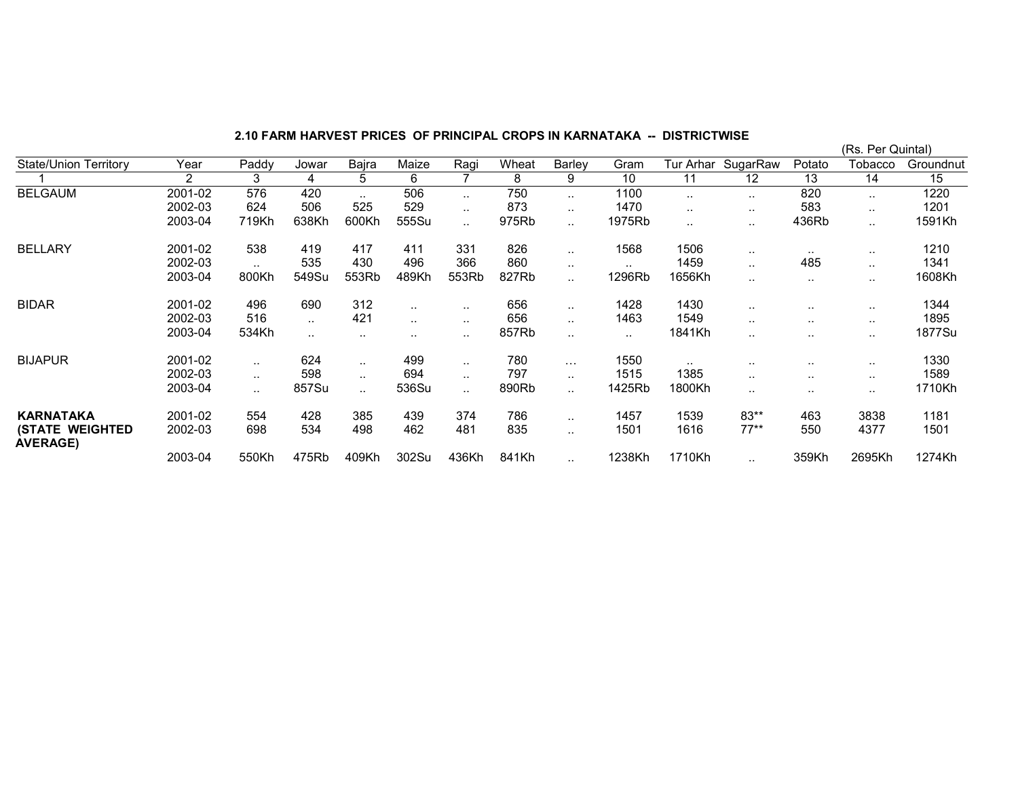(Rs. Per Quintal)w Potato Tobacco Groundnut State/Union Territory Year Paddy Jowar Bajra Maize Ragi Wheat Barley Gram Tur Arhar SugarRaw<br>11 12 1 2 3 4 5 6 7 8 9 10 11 12 13 14 15 1220 BELGAUM 2001-02 576 420 .. 506 .. 750 .. 1100 .. 820 .. 1220 1201 2002-03 624 506 525 529 .. 873 .. 1470 .. .. 583 .. 1201 1591Kh 2003-04 719Kh 638Kh 600Kh 555Su ... 975Rb ... 1975Rb ... ... ... 436Rb ... 1591Kh BELLARY 2001-02 538 419 417 411 331 826 .. 1568 1506 .. .. .. 1210 1341 2002-03 .. 535 430 496 366 860 .. .. 1459 .. 485 .. 1341 1608Kh 2003-04 800Kh 549Su 553Rb 489Kh 553Rb 827Rb ... 1296Rb 1656Kh ... ... ... ... ... 1608Kh BIDAR 2001-02 496 690 312 .. .. 656 .. 1428 1430 .. .. .. 1344 1895 2002-03 516 .. 421 .. .. 656 .. 1463 1549 .. .. .. 1895 1877Su 2003-04 534Kh .. .. .. .. 857Rb .. .. 1841Kh .. .. .. 1877Su BIJAPUR 2001-02 .. 624 .. 499 .. 780 ... 1550 .. .. ... 1330 1589 2002-03 .. 598 .. 694 .. 797 .. 1515 1385 .. .. .. 1589 1710Kh 2003-04 ... 857Su ... 536Su ... 890Rb ... 1425Rb 1800Kh ... ... ... ... 1710Kh **KARNATAKA** 2001-02 554 428 385 439 786 1457 1539 83\*\* 463 3838 1181 1501 (STATE WEIGHTED AVERAGE) 2002-03 698 534 498 462 481 835 .. 1501 1616 77\*\* 550 4377 1501 2003-04 550Kh 475Rb 409Kh 302Su 436Kh 841Kh .. 1238Kh 1710Kh .. 359Kh 2695Kh 1274Kh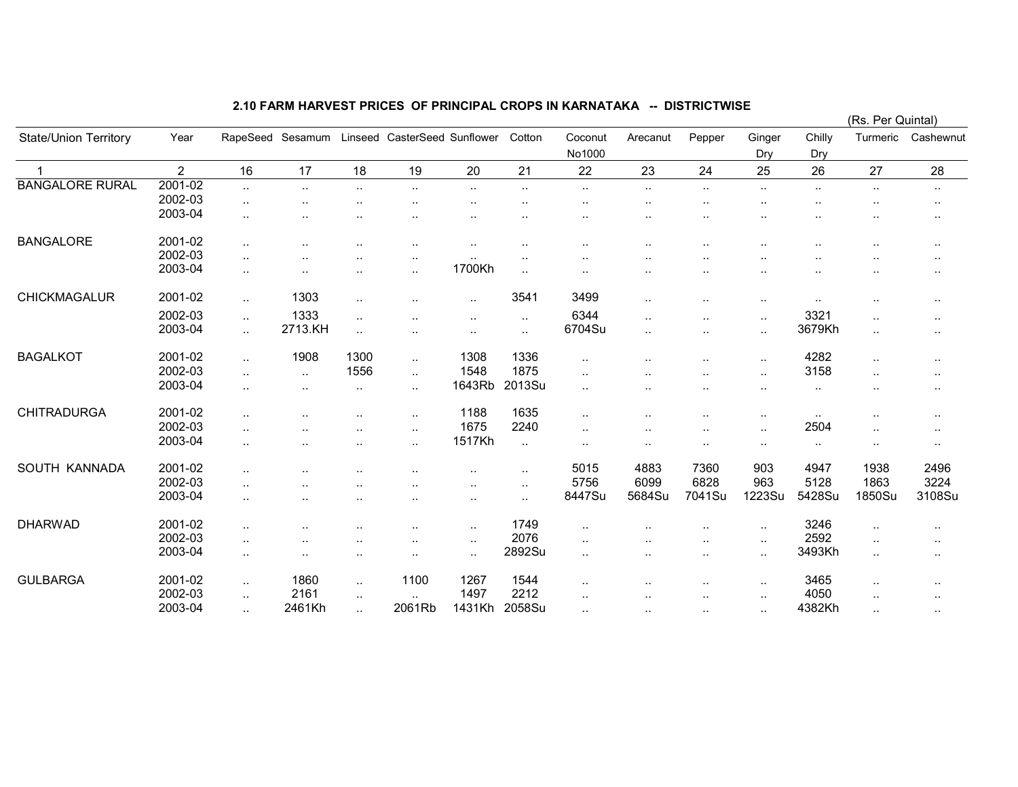|                              |                |                      |                  |                      |                              |               |           |                      |                      |                      |                      |               | (RS. Per Quintal)    |                      |
|------------------------------|----------------|----------------------|------------------|----------------------|------------------------------|---------------|-----------|----------------------|----------------------|----------------------|----------------------|---------------|----------------------|----------------------|
| <b>State/Union Territory</b> | Year           |                      | RapeSeed Sesamum |                      | Linseed CasterSeed Sunflower |               | Cotton    | Coconut<br>No1000    | Arecanut             | Pepper               | Ginger<br>Dry        | Chilly<br>Dry | Turmeric             | Cashewnut            |
| $\mathbf 1$                  | $\overline{2}$ | 16                   | 17               | 18                   | 19                           | 20            | 21        | 22                   | 23                   | 24                   | 25                   | 26            | 27                   | 28                   |
| <b>BANGALORE RURAL</b>       | 2001-02        | $\ddotsc$            | $\ddotsc$        | $\ddot{\phantom{a}}$ | $\ddot{\phantom{a}}$         | $\ddotsc$     |           | $\ddotsc$            | $\ddotsc$            | $\sim$               | $\cdot$ .            |               | $\cdot$ .            | $\sim$               |
|                              | 2002-03        |                      |                  |                      |                              |               |           |                      |                      | $\sim$               |                      |               | ٠.                   | $\sim$               |
|                              | 2003-04        | $\cdot$ .            |                  |                      |                              |               |           |                      | $\ddotsc$            | $\sim$               |                      |               | ٠.                   | $\ddotsc$            |
| <b>BANGALORE</b>             | 2001-02        | $\cdot$ .            |                  |                      | ٠.                           | $\sim$ $\sim$ |           | $\ddot{\phantom{0}}$ | $\ddotsc$            | $\ddotsc$            |                      |               |                      | $\sim$               |
|                              | 2002-03        | . .                  |                  |                      |                              | $\sim$        |           |                      |                      |                      |                      |               |                      | $\cdot$ .            |
|                              | 2003-04        | $\ddotsc$            |                  |                      |                              | 1700Kh        | $\sim$    | $\sim$               | $\cdot$ .            | $\ddot{\phantom{0}}$ |                      | . .           | . .                  | $\ddot{\phantom{a}}$ |
| CHICKMAGALUR                 | 2001-02        | $\ldots$             | 1303             |                      |                              | $\ddotsc$     | 3541      | 3499                 | $\ddot{\phantom{a}}$ | $\sim$               | $\cdot$ .            | $\ldots$      |                      | $\cdot$ .            |
|                              | 2002-03        |                      | 1333             |                      |                              |               |           | 6344                 |                      |                      |                      | 3321          |                      |                      |
|                              | 2003-04        | $\ddot{\phantom{a}}$ | 2713.KH          | $\ddotsc$            |                              | $\cdot$ .     | $\sim$    | 6704Su               | $\ddot{\phantom{a}}$ | $\cdot$ .            | $\cdot$ .            | 3679Kh        | $\ddotsc$            | $\ddot{\phantom{a}}$ |
|                              |                | Ω.                   |                  | $\ddotsc$            |                              | $\ddotsc$     | $\ddotsc$ |                      | $\ddotsc$            | $\ddotsc$            | $\ldots$             |               | $\ddot{\phantom{a}}$ | $\ddot{\phantom{a}}$ |
| <b>BAGALKOT</b>              | 2001-02        | $\ddotsc$            | 1908             | 1300                 | $\ddotsc$                    | 1308          | 1336      | $\ddotsc$            | $\ddot{\phantom{a}}$ | $\cdot$ .            | $\ldots$             | 4282          | $\ddotsc$            | ٠.                   |
|                              | 2002-03        | $\ddotsc$            | $\ddotsc$        | 1556                 | $\ddotsc$                    | 1548          | 1875      | $\cdot$ .            |                      |                      | $\cdot$ .            | 3158          |                      | $\sim$               |
|                              | 2003-04        | $\cdot$ .            | $\ddotsc$        |                      | ٠.                           | 1643Rb        | 2013Su    | $\ddot{\phantom{a}}$ |                      |                      | $\ddot{\phantom{0}}$ |               |                      | $\sim$ $\sim$        |
| <b>CHITRADURGA</b>           | 2001-02        | $\cdot$ .            |                  |                      | ٠.                           | 1188          | 1635      | $\cdot$ .            |                      | $\cdot$ .            | $\cdot$ .            | $\sim$        | $\sim$               | $\sim$               |
|                              | 2002-03        | $\ddot{\phantom{a}}$ |                  |                      |                              | 1675          | 2240      | $\ddot{\phantom{a}}$ | ٠.                   | $\cdot$ .            | $\cdot$ .            | 2504          |                      | $\sim$               |
|                              | 2003-04        |                      |                  |                      |                              | 1517Kh        |           |                      |                      |                      |                      |               |                      |                      |
|                              |                | $\cdot$ .            |                  | $\cdot$ .            | $\cdot$                      |               | $\sim$    | $\cdot$ .            | ٠.                   | $\cdot$ .            | $\cdot$ .            | $\sim$ $\sim$ | $\cdot$ .            | $\cdot$ .            |
| SOUTH KANNADA                | 2001-02        | $\ddotsc$            |                  |                      |                              | $\cdot$ .     | $\sim$    | 5015                 | 4883                 | 7360                 | 903                  | 4947          | 1938                 | 2496                 |
|                              | 2002-03        | $\ddotsc$            |                  |                      |                              | $\cdot$ .     | $\sim$    | 5756                 | 6099                 | 6828                 | 963                  | 5128          | 1863                 | 3224                 |
|                              | 2003-04        | . .                  |                  |                      |                              | $\cdot$ .     | $\ldots$  | 8447Su               | 5684Su               | 7041Su               | 1223Su               | 5428Su        | 1850Su               | 3108Su               |
| <b>DHARWAD</b>               | 2001-02        | $\ddot{\phantom{a}}$ |                  |                      |                              | $\sim$        | 1749      | $\cdot$ .            |                      | $\cdot$ .            | $\cdot$ .            | 3246          | $\ddotsc$            | $\sim$               |
|                              | 2002-03        | $\ddot{\phantom{a}}$ |                  |                      |                              | $\cdot$ .     | 2076      | $\cdot$ .            |                      | $\ddot{\phantom{1}}$ | $\cdots$             | 2592          | ٠.                   | $\sim$               |
|                              | 2003-04        |                      |                  | $\cdot$ .            |                              | $\ddotsc$     | 2892Su    | $\cdot$ .            |                      |                      | $\cdot$ .            | 3493Kh        | $\ddotsc$            |                      |
|                              |                |                      |                  |                      |                              |               |           |                      | $\sim$               | $\sim$               |                      |               |                      | $\sim$               |
| <b>GULBARGA</b>              | 2001-02        | $\ldots$             | 1860             | $\ddotsc$            | 1100                         | 1267          | 1544      | $\cdot$ .            |                      |                      | $\cdot$ .            | 3465          | $\cdot$ .            | $\sim$               |
|                              | 2002-03        | $\ddotsc$            | 2161             | $\ddotsc$            |                              | 1497          | 2212      | $\cdot$ .            | ٠.                   | $\ddotsc$            | $\cdot$ .            | 4050          |                      | $\cdot$ .            |
|                              | 2003-04        | $\cdot$ .            | 2461Kh           | $\ddotsc$            | 2061Rb                       | 1431Kh        | 2058Su    | $\sim$ $\sim$        | $\sim$               | $\cdot$ .            | $\sim$               | 4382Kh        | $\ddotsc$            | $\sim$               |

(Rs. Per Quintal)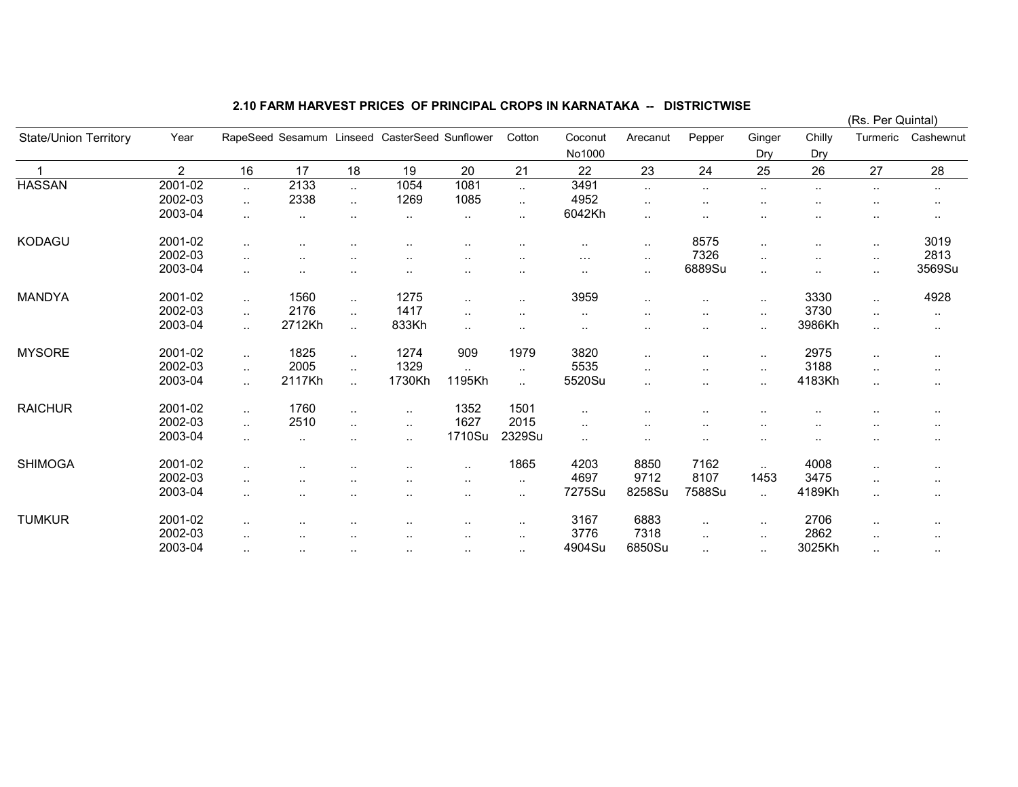|                       |                |           |                          |                      |                      |               |           |                      |                      |                      |                      |               | (Rs. Per Quintal)    |                      |
|-----------------------|----------------|-----------|--------------------------|----------------------|----------------------|---------------|-----------|----------------------|----------------------|----------------------|----------------------|---------------|----------------------|----------------------|
| State/Union Territory | Year           |           | RapeSeed Sesamum Linseed |                      | CasterSeed Sunflower |               | Cotton    | Coconut<br>No1000    | Arecanut             | Pepper               | Ginger<br>Dry        | Chilly<br>Dry | Turmeric             | Cashewnut            |
|                       | $\overline{2}$ | 16        | 17                       | 18                   | 19                   | 20            | 21        | 22                   | 23                   | 24                   | 25                   | 26            | 27                   | 28                   |
| <b>HASSAN</b>         | 2001-02        | $\cdot$ . | 2133                     | $\ldots$             | 1054                 | 1081          | $\sim$    | 3491                 |                      | $\sim$               | $\sim$               |               | $\sim$               | $\cdot$ .            |
|                       | 2002-03        | $\ddotsc$ | 2338                     | $\ddotsc$            | 1269                 | 1085          | ٠.        | 4952                 | $\ddotsc$            | $\ddot{\phantom{0}}$ |                      |               | $\sim$               | $\sim$               |
|                       | 2003-04        | $\sim$    | $\sim$                   | $\sim$               | $\cdots$             | $\cdot$ .     | $\sim$    | 6042Kh               | $\sim$               | $\sim$               |                      |               | $\sim$               | $\ddot{\phantom{1}}$ |
| KODAGU                | 2001-02        | $\sim$    | $\sim$                   |                      |                      | $\sim$        |           | $\cdots$             | $\cdot$ .            | 8575                 | $\cdot$ .            | $\sim$        | $\cdot$ .            | 3019                 |
|                       | 2002-03        | $\ldots$  | $\cdot$ .                | $\sim$               |                      |               | $\cdot$ . | $\sim$ $\sim$ $\sim$ | $\sim$               | 7326                 | $\cdot$ .            |               | $\cdot$ .            | 2813                 |
|                       | 2003-04        | $\ldots$  | $\ddotsc$                | $\cdot$ .            | $\ddotsc$            |               |           | $\cdot$ .            | $\cdot$ .            | 6889Su               | $\ddotsc$            |               | $\cdot$ .            | 3569Su               |
| <b>MANDYA</b>         | 2001-02        | $\ddotsc$ | 1560                     | $\ldots$             | 1275                 | $\ddotsc$     |           | 3959                 | $\ddotsc$            | $\ddotsc$            | $\cdot$ .            | 3330          | $\ddot{\phantom{a}}$ | 4928                 |
|                       | 2002-03        | $\sim$    | 2176                     | $\sim$               | 1417                 | $\ddotsc$     |           | $\sim$               |                      | $\sim$               | $\sim$               | 3730          | $\sim$               | $\sim$               |
|                       | 2003-04        | $\ddotsc$ | 2712Kh                   | $\ddotsc$            | 833Kh                | $\ddotsc$     | $\cdot$ . | $\cdot$ .            |                      | $\sim$               | $\ldots$             | 3986Kh        | $\ddot{\phantom{a}}$ | $\sim$               |
| <b>MYSORE</b>         | 2001-02        | $\sim$    | 1825                     | $\ldots$             | 1274                 | 909           | 1979      | 3820                 | $\ddot{\phantom{a}}$ |                      | $\ddotsc$            | 2975          | $\ddot{\phantom{a}}$ | $\sim$               |
|                       | 2002-03        | $\ddotsc$ | 2005                     | $\ldots$             | 1329                 | $\ddotsc$     | $\sim$    | 5535                 | $\cdot$ .            | $\sim$               | $\sim$               | 3188          | $\sim$               | $\sim$               |
|                       | 2003-04        | $\ddotsc$ | 2117Kh                   | $\ddot{\phantom{a}}$ | 1730Kh               | 1195Kh        | $\ddotsc$ | 5520Su               | $\cdot$ .            |                      | $\ddot{\phantom{a}}$ | 4183Kh        | $\ddotsc$            | $\sim$               |
| <b>RAICHUR</b>        | 2001-02        | $\sim$    | 1760                     | $\cdot$ .            | $\sim$               | 1352          | 1501      | $\cdot$ .            |                      | $\sim$               |                      |               | $\cdot$ .            | $\cdot$ .            |
|                       | 2002-03        | $\ddotsc$ | 2510                     | $\ddotsc$            | $\sim$               | 1627          | 2015      | $\sim$               | $\cdot$ .            | $\ddot{\phantom{a}}$ |                      |               | $\ddot{\phantom{a}}$ | $\ddot{\phantom{1}}$ |
|                       | 2003-04        | $\sim$    | $\cdot$ .                | $\sim$               | $\sim$               | 1710Su        | 2329Su    | $\cdot$ .            |                      | $\sim$               | $\sim$ $\sim$        |               | $\sim$               | $\cdot$ .            |
| <b>SHIMOGA</b>        | 2001-02        | $\ldots$  |                          |                      |                      | $\ddotsc$     | 1865      | 4203                 | 8850                 | 7162                 | $\sim$               | 4008          | $\cdot$ .            | $\sim$               |
|                       | 2002-03        | $\sim$    | $\sim$                   | $\cdot$ .            | . .                  | $\cdot$ .     | $\cdot$ . | 4697                 | 9712                 | 8107                 | 1453                 | 3475          | $\cdot$ .            | $\sim$               |
|                       | 2003-04        | $\sim$    | . .                      |                      | $\cdot$ .            | $\sim$ $\sim$ | $\sim$    | 7275Su               | 8258Su               | 7588Su               | $\ldots$             | 4189Kh        | $\sim$               |                      |
| <b>TUMKUR</b>         | 2001-02        | $\cdot$ . |                          | $\sim$               |                      |               |           | 3167                 | 6883                 | $\sim$               | $\sim$               | 2706          | $\cdot$ .            |                      |
|                       | 2002-03        | $\ddotsc$ | $\sim$                   |                      |                      | $\sim$<br>    | $\sim$    | 3776                 | 7318                 |                      | $\cdot$ .            | 2862          |                      | $\sim$               |
|                       | 2003-04        |           |                          |                      |                      |               |           | 4904Su               | 6850Su               | $\sim$               |                      | 3025Kh        | $\cdot$ .            | $\ddotsc$            |
|                       |                | $\sim$    | $\sim$                   | $\sim$               | $\cdot$ .            | $\sim$        | $\sim$    |                      |                      | $\sim$               | $\cdot$ .            |               | $\sim$               | $\sim$               |

(Rs. Per Quintal)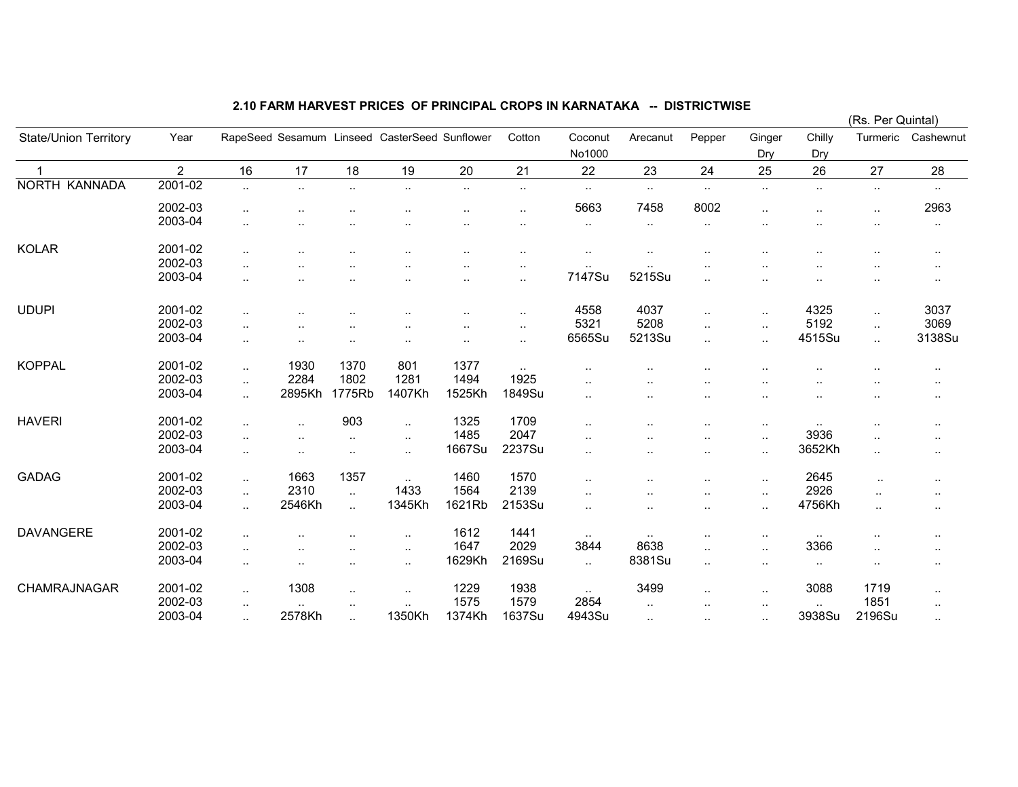|                              |                |                      |                      |                      |                                               |           |               |                      |           |                      |                      |                      |                      | (Rs. Per Quintal) |  |  |
|------------------------------|----------------|----------------------|----------------------|----------------------|-----------------------------------------------|-----------|---------------|----------------------|-----------|----------------------|----------------------|----------------------|----------------------|-------------------|--|--|
| <b>State/Union Territory</b> | Year           |                      |                      |                      | RapeSeed Sesamum Linseed CasterSeed Sunflower |           | Cotton        | Coconut<br>No1000    | Arecanut  | Pepper               | Ginger<br>Dry        | Chilly<br>Dry        | Turmeric             | Cashewnut         |  |  |
| $\mathbf 1$                  | $\overline{2}$ | 16                   | 17                   | 18                   | 19                                            | 20        | 21            | 22                   | 23        | 24                   | 25                   | 26                   | 27                   | 28                |  |  |
| <b>NORTH KANNADA</b>         | 2001-02        | $\ddotsc$            | $\sim$               | $\cdot$ .            | $\ldots$                                      | $\sim$    | $\sim$        | $\sim$               | $\cdot$ . | $\cdot$ .            | $\ddotsc$            | $\sim$               | $\cdot$ .            | $\sim$            |  |  |
|                              | 2002-03        | $\cdot$ .            |                      |                      |                                               | $\ddotsc$ |               | 5663                 | 7458      | 8002                 | $\ddotsc$            | ٠.                   | $\ldots$             | 2963              |  |  |
|                              | 2003-04        | $\sim$               |                      |                      |                                               |           |               | $\sim$               | $\cdot$ . |                      |                      |                      | $\cdot$ .            | $\cdot$ .         |  |  |
| <b>KOLAR</b>                 | 2001-02        | $\cdot$ .            | ٠.                   |                      |                                               | $\ddotsc$ |               |                      |           |                      |                      | ٠.                   | $\cdot$ .            | $\sim$            |  |  |
|                              | 2002-03        | $\ddot{\phantom{a}}$ |                      |                      |                                               |           |               |                      |           |                      |                      |                      |                      | ٠.                |  |  |
|                              | 2003-04        | $\ddotsc$            |                      |                      |                                               | $\ddotsc$ | $\sim$        | 7147Su               | 5215Su    |                      |                      |                      | ٠.                   | $\cdots$          |  |  |
| <b>UDUPI</b>                 | 2001-02        | $\ddot{\phantom{a}}$ |                      |                      |                                               |           | $\ddotsc$     | 4558                 | 4037      | $\ddotsc$            | $\ddotsc$            | 4325                 | $\cdot$ .            | 3037              |  |  |
|                              | 2002-03        | $\cdot$ .            |                      |                      |                                               |           |               | 5321                 | 5208      | $\ddot{\phantom{a}}$ | $\ddotsc$            | 5192                 | $\cdot$ .            | 3069              |  |  |
|                              | 2003-04        | $\ddotsc$            |                      |                      |                                               | $\cdot$ . | $\ddotsc$     | 6565Su               | 5213Su    | $\ddotsc$            | $\ddot{\phantom{a}}$ | 4515Su               | $\ddotsc$            | 3138Su            |  |  |
| <b>KOPPAL</b>                | 2001-02        | $\ddotsc$            | 1930                 | 1370                 | 801                                           | 1377      | $\sim$ $\sim$ |                      |           |                      |                      |                      |                      |                   |  |  |
|                              | 2002-03        | $\ddotsc$            | 2284                 | 1802                 | 1281                                          | 1494      | 1925          |                      |           |                      |                      |                      |                      |                   |  |  |
|                              | 2003-04        | $\ddotsc$            | 2895Kh               | 1775Rb               | 1407Kh                                        | 1525Kh    | 1849Su        |                      |           |                      |                      |                      | $\ddot{\phantom{1}}$ | $\cdot$ .         |  |  |
| <b>HAVERI</b>                | 2001-02        | $\ddotsc$            | $\ddot{\phantom{a}}$ | 903                  | $\ddot{\phantom{a}}$                          | 1325      | 1709          | $\ddot{\phantom{a}}$ |           |                      | $\ddotsc$            | $\cdot$ .            | ٠.                   | $\cdot$ .         |  |  |
|                              | 2002-03        | $\sim$               | $\ddot{\phantom{a}}$ | ٠.                   | $\cdot$ .                                     | 1485      | 2047          |                      |           |                      | $\sim$               | 3936                 | $\sim$ $\sim$        | $\sim$            |  |  |
|                              | 2003-04        | $\cdot$ .            | ٠.                   | $\cdot$ .            | $\ddotsc$                                     | 1667Su    | 2237Su        |                      |           |                      | $\ddot{\phantom{1}}$ | 3652Kh               | $\cdot$ .            | $\cdot$ .         |  |  |
| <b>GADAG</b>                 | 2001-02        | $\ddotsc$            | 1663                 | 1357                 | $\ddotsc$                                     | 1460      | 1570          |                      |           |                      |                      | 2645                 | $\ddot{\phantom{0}}$ | $\ldots$          |  |  |
|                              | 2002-03        | $\ddotsc$            | 2310                 | $\ddotsc$            | 1433                                          | 1564      | 2139          |                      |           |                      | $\ddot{\phantom{a}}$ | 2926                 | $\ddotsc$            | $\cdots$          |  |  |
|                              | 2003-04        | $\ddotsc$            | 2546Kh               | $\ddotsc$            | 1345Kh                                        | 1621Rb    | 2153Su        | $\ddotsc$            |           |                      | $\ddot{\phantom{a}}$ | 4756Kh               | $\ddotsc$            | $\cdots$          |  |  |
| <b>DAVANGERE</b>             | 2001-02        | $\ddot{\phantom{a}}$ |                      |                      |                                               | 1612      | 1441          | $\sim$               |           |                      | $\ddotsc$            | $\sim$               | ٠.                   | $\cdots$          |  |  |
|                              | 2002-03        | $\ddotsc$            |                      |                      |                                               | 1647      | 2029          | 3844                 | 8638      |                      | $\ddotsc$            | 3366                 | $\cdot$ .            | $\sim$            |  |  |
|                              | 2003-04        | $\ddotsc$            | $\ddotsc$            | $\ddotsc$            | $\ldots$                                      | 1629Kh    | 2169Su        | $\ddotsc$            | 8381Su    | $\ddot{\phantom{a}}$ | $\ddot{\phantom{a}}$ | $\sim$               | $\ldots$             | $\sim$            |  |  |
| CHAMRAJNAGAR                 | 2001-02        | $\ddotsc$            | 1308                 | $\ddot{\phantom{a}}$ | $\cdot$ .                                     | 1229      | 1938          | $\sim$               | 3499      | $\cdot$ .            | $\ddotsc$            | 3088                 | 1719                 | $\ldots$          |  |  |
|                              | 2002-03        | $\sim$               |                      | $\cdot$ .            |                                               | 1575      | 1579          | 2854                 | $\ddotsc$ |                      | $\ddotsc$            | $\ddot{\phantom{a}}$ | 1851                 | $\sim$            |  |  |
|                              | 2003-04        | $\ddotsc$            | 2578Kh               | $\ddotsc$            | 1350Kh                                        | 1374Kh    | 1637Su        | 4943Su               | $\ddotsc$ |                      | $\cdot$ .            | 3938Su               | 2196Su               | $\sim$            |  |  |